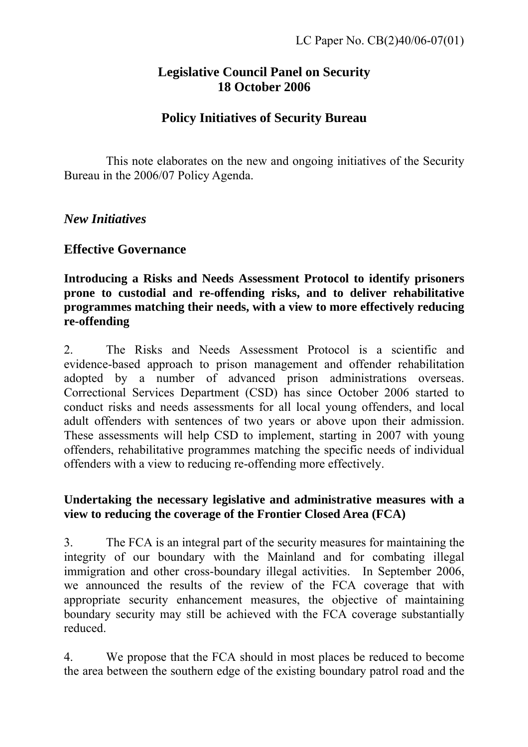# **Legislative Council Panel on Security 18 October 2006**

# **Policy Initiatives of Security Bureau**

 This note elaborates on the new and ongoing initiatives of the Security Bureau in the 2006/07 Policy Agenda.

*New Initiatives* 

## **Effective Governance**

**Introducing a Risks and Needs Assessment Protocol to identify prisoners prone to custodial and re-offending risks, and to deliver rehabilitative programmes matching their needs, with a view to more effectively reducing re-offending** 

2. The Risks and Needs Assessment Protocol is a scientific and evidence-based approach to prison management and offender rehabilitation adopted by a number of advanced prison administrations overseas. Correctional Services Department (CSD) has since October 2006 started to conduct risks and needs assessments for all local young offenders, and local adult offenders with sentences of two years or above upon their admission. These assessments will help CSD to implement, starting in 2007 with young offenders, rehabilitative programmes matching the specific needs of individual offenders with a view to reducing re-offending more effectively.

### **Undertaking the necessary legislative and administrative measures with a view to reducing the coverage of the Frontier Closed Area (FCA)**

3. The FCA is an integral part of the security measures for maintaining the integrity of our boundary with the Mainland and for combating illegal immigration and other cross-boundary illegal activities. In September 2006, we announced the results of the review of the FCA coverage that with appropriate security enhancement measures, the objective of maintaining boundary security may still be achieved with the FCA coverage substantially reduced.

4. We propose that the FCA should in most places be reduced to become the area between the southern edge of the existing boundary patrol road and the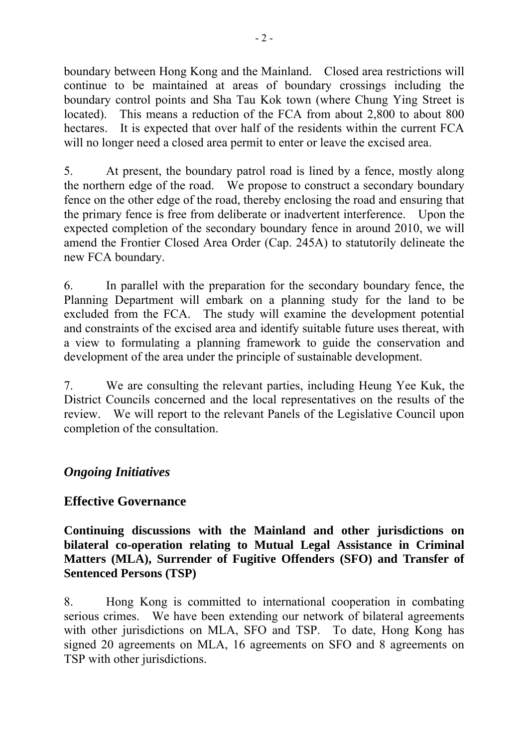boundary between Hong Kong and the Mainland. Closed area restrictions will continue to be maintained at areas of boundary crossings including the boundary control points and Sha Tau Kok town (where Chung Ying Street is located). This means a reduction of the FCA from about 2,800 to about 800 hectares. It is expected that over half of the residents within the current FCA will no longer need a closed area permit to enter or leave the excised area.

5. At present, the boundary patrol road is lined by a fence, mostly along the northern edge of the road. We propose to construct a secondary boundary fence on the other edge of the road, thereby enclosing the road and ensuring that the primary fence is free from deliberate or inadvertent interference. Upon the expected completion of the secondary boundary fence in around 2010, we will amend the Frontier Closed Area Order (Cap. 245A) to statutorily delineate the new FCA boundary.

6. In parallel with the preparation for the secondary boundary fence, the Planning Department will embark on a planning study for the land to be excluded from the FCA. The study will examine the development potential and constraints of the excised area and identify suitable future uses thereat, with a view to formulating a planning framework to guide the conservation and development of the area under the principle of sustainable development.

7. We are consulting the relevant parties, including Heung Yee Kuk, the District Councils concerned and the local representatives on the results of the review. We will report to the relevant Panels of the Legislative Council upon completion of the consultation.

## *Ongoing Initiatives*

## **Effective Governance**

### **Continuing discussions with the Mainland and other jurisdictions on bilateral co-operation relating to Mutual Legal Assistance in Criminal Matters (MLA), Surrender of Fugitive Offenders (SFO) and Transfer of Sentenced Persons (TSP)**

8. Hong Kong is committed to international cooperation in combating serious crimes. We have been extending our network of bilateral agreements with other jurisdictions on MLA, SFO and TSP. To date, Hong Kong has signed 20 agreements on MLA, 16 agreements on SFO and 8 agreements on TSP with other jurisdictions.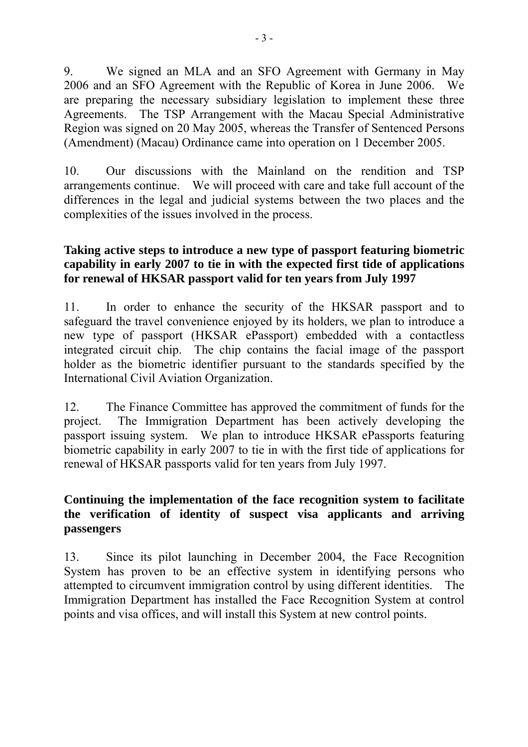9. We signed an MLA and an SFO Agreement with Germany in May 2006 and an SFO Agreement with the Republic of Korea in June 2006. We are preparing the necessary subsidiary legislation to implement these three Agreements. The TSP Arrangement with the Macau Special Administrative Region was signed on 20 May 2005, whereas the Transfer of Sentenced Persons (Amendment) (Macau) Ordinance came into operation on 1 December 2005.

10. Our discussions with the Mainland on the rendition and TSP arrangements continue. We will proceed with care and take full account of the differences in the legal and judicial systems between the two places and the complexities of the issues involved in the process.

### **Taking active steps to introduce a new type of passport featuring biometric capability in early 2007 to tie in with the expected first tide of applications for renewal of HKSAR passport valid for ten years from July 1997**

11. In order to enhance the security of the HKSAR passport and to safeguard the travel convenience enjoyed by its holders, we plan to introduce a new type of passport (HKSAR ePassport) embedded with a contactless integrated circuit chip. The chip contains the facial image of the passport holder as the biometric identifier pursuant to the standards specified by the International Civil Aviation Organization.

12. The Finance Committee has approved the commitment of funds for the project. The Immigration Department has been actively developing the passport issuing system. We plan to introduce HKSAR ePassports featuring biometric capability in early 2007 to tie in with the first tide of applications for renewal of HKSAR passports valid for ten years from July 1997.

## **Continuing the implementation of the face recognition system to facilitate the verification of identity of suspect visa applicants and arriving passengers**

13. Since its pilot launching in December 2004, the Face Recognition System has proven to be an effective system in identifying persons who attempted to circumvent immigration control by using different identities. The Immigration Department has installed the Face Recognition System at control points and visa offices, and will install this System at new control points.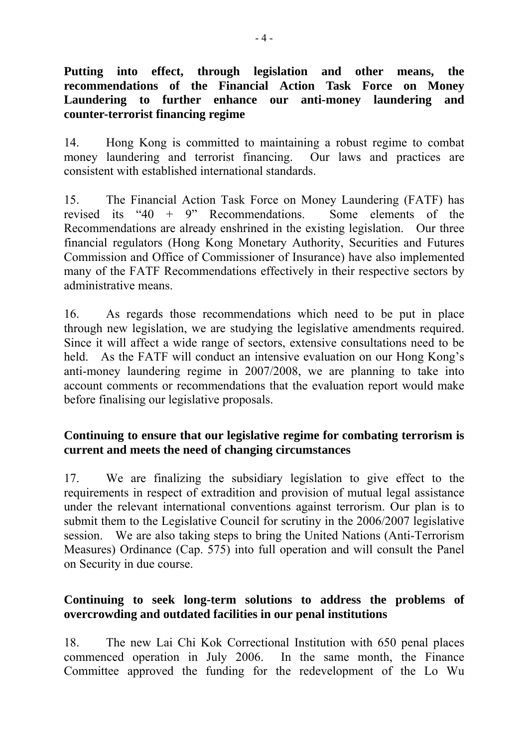**Putting into effect, through legislation and other means, the recommendations of the Financial Action Task Force on Money Laundering to further enhance our anti-money laundering and counter-terrorist financing regime** 

14. Hong Kong is committed to maintaining a robust regime to combat money laundering and terrorist financing. Our laws and practices are consistent with established international standards.

15. The Financial Action Task Force on Money Laundering (FATF) has revised its "40 + 9" Recommendations. Some elements of the Recommendations are already enshrined in the existing legislation. Our three financial regulators (Hong Kong Monetary Authority, Securities and Futures Commission and Office of Commissioner of Insurance) have also implemented many of the FATF Recommendations effectively in their respective sectors by administrative means.

16. As regards those recommendations which need to be put in place through new legislation, we are studying the legislative amendments required. Since it will affect a wide range of sectors, extensive consultations need to be held. As the FATF will conduct an intensive evaluation on our Hong Kong's anti-money laundering regime in 2007/2008, we are planning to take into account comments or recommendations that the evaluation report would make before finalising our legislative proposals.

## **Continuing to ensure that our legislative regime for combating terrorism is current and meets the need of changing circumstances**

17. We are finalizing the subsidiary legislation to give effect to the requirements in respect of extradition and provision of mutual legal assistance under the relevant international conventions against terrorism. Our plan is to submit them to the Legislative Council for scrutiny in the 2006/2007 legislative session. We are also taking steps to bring the United Nations (Anti-Terrorism Measures) Ordinance (Cap. 575) into full operation and will consult the Panel on Security in due course.

## **Continuing to seek long-term solutions to address the problems of overcrowding and outdated facilities in our penal institutions**

18. The new Lai Chi Kok Correctional Institution with 650 penal places commenced operation in July 2006. In the same month, the Finance Committee approved the funding for the redevelopment of the Lo Wu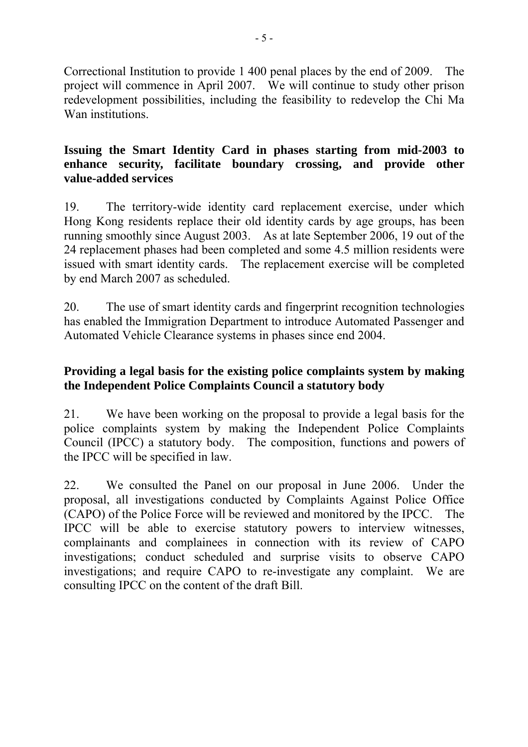Correctional Institution to provide 1 400 penal places by the end of 2009. The project will commence in April 2007. We will continue to study other prison redevelopment possibilities, including the feasibility to redevelop the Chi Ma Wan institutions.

#### **Issuing the Smart Identity Card in phases starting from mid-2003 to enhance security, facilitate boundary crossing, and provide other value-added services**

19. The territory-wide identity card replacement exercise, under which Hong Kong residents replace their old identity cards by age groups, has been running smoothly since August 2003. As at late September 2006, 19 out of the 24 replacement phases had been completed and some 4.5 million residents were issued with smart identity cards. The replacement exercise will be completed by end March 2007 as scheduled.

20. The use of smart identity cards and fingerprint recognition technologies has enabled the Immigration Department to introduce Automated Passenger and Automated Vehicle Clearance systems in phases since end 2004.

## **Providing a legal basis for the existing police complaints system by making the Independent Police Complaints Council a statutory body**

21. We have been working on the proposal to provide a legal basis for the police complaints system by making the Independent Police Complaints Council (IPCC) a statutory body. The composition, functions and powers of the IPCC will be specified in law.

22. We consulted the Panel on our proposal in June 2006. Under the proposal, all investigations conducted by Complaints Against Police Office (CAPO) of the Police Force will be reviewed and monitored by the IPCC. The IPCC will be able to exercise statutory powers to interview witnesses, complainants and complainees in connection with its review of CAPO investigations; conduct scheduled and surprise visits to observe CAPO investigations; and require CAPO to re-investigate any complaint. We are consulting IPCC on the content of the draft Bill.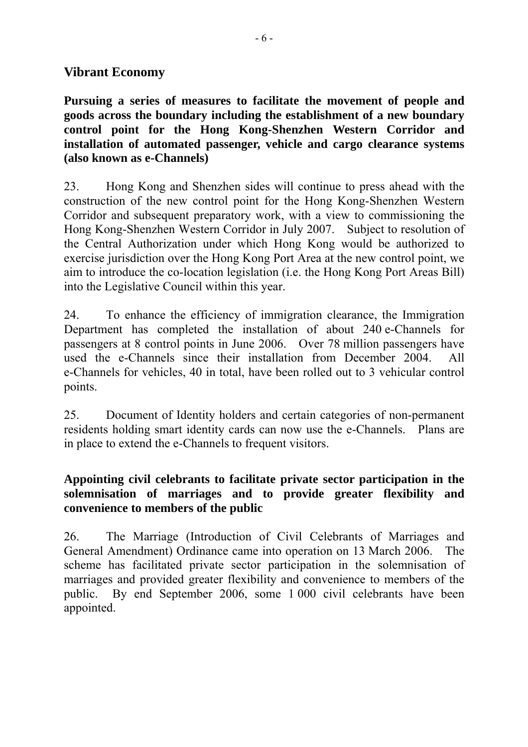## **Vibrant Economy**

**Pursuing a series of measures to facilitate the movement of people and goods across the boundary including the establishment of a new boundary control point for the Hong Kong-Shenzhen Western Corridor and installation of automated passenger, vehicle and cargo clearance systems (also known as e-Channels)** 

23. Hong Kong and Shenzhen sides will continue to press ahead with the construction of the new control point for the Hong Kong-Shenzhen Western Corridor and subsequent preparatory work, with a view to commissioning the Hong Kong-Shenzhen Western Corridor in July 2007. Subject to resolution of the Central Authorization under which Hong Kong would be authorized to exercise jurisdiction over the Hong Kong Port Area at the new control point, we aim to introduce the co-location legislation (i.e. the Hong Kong Port Areas Bill) into the Legislative Council within this year.

24. To enhance the efficiency of immigration clearance, the Immigration Department has completed the installation of about 240 e-Channels for passengers at 8 control points in June 2006. Over 78 million passengers have used the e-Channels since their installation from December 2004. All e-Channels for vehicles, 40 in total, have been rolled out to 3 vehicular control points.

25. Document of Identity holders and certain categories of non-permanent residents holding smart identity cards can now use the e-Channels. Plans are in place to extend the e-Channels to frequent visitors.

### **Appointing civil celebrants to facilitate private sector participation in the solemnisation of marriages and to provide greater flexibility and convenience to members of the public**

26. The Marriage (Introduction of Civil Celebrants of Marriages and General Amendment) Ordinance came into operation on 13 March 2006. The scheme has facilitated private sector participation in the solemnisation of marriages and provided greater flexibility and convenience to members of the public. By end September 2006, some 1 000 civil celebrants have been appointed.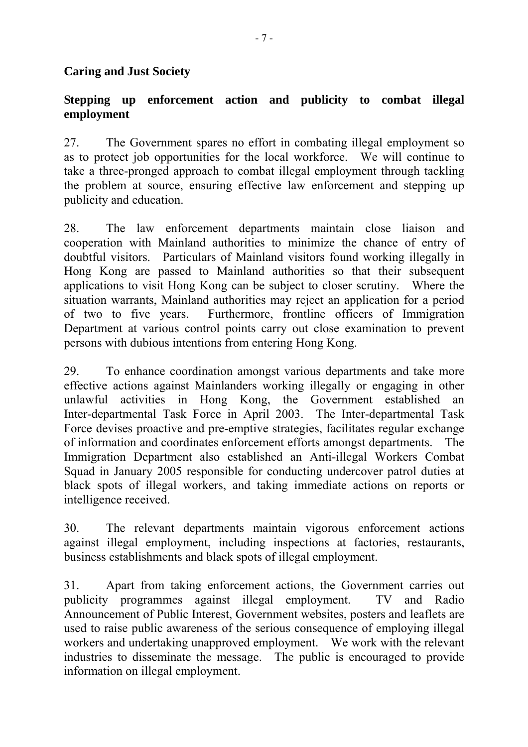#### **Caring and Just Society**

### **Stepping up enforcement action and publicity to combat illegal employment**

27. The Government spares no effort in combating illegal employment so as to protect job opportunities for the local workforce. We will continue to take a three-pronged approach to combat illegal employment through tackling the problem at source, ensuring effective law enforcement and stepping up publicity and education.

28. The law enforcement departments maintain close liaison and cooperation with Mainland authorities to minimize the chance of entry of doubtful visitors. Particulars of Mainland visitors found working illegally in Hong Kong are passed to Mainland authorities so that their subsequent applications to visit Hong Kong can be subject to closer scrutiny. Where the situation warrants, Mainland authorities may reject an application for a period of two to five years. Furthermore, frontline officers of Immigration Department at various control points carry out close examination to prevent persons with dubious intentions from entering Hong Kong.

29. To enhance coordination amongst various departments and take more effective actions against Mainlanders working illegally or engaging in other unlawful activities in Hong Kong, the Government established an Inter-departmental Task Force in April 2003. The Inter-departmental Task Force devises proactive and pre-emptive strategies, facilitates regular exchange of information and coordinates enforcement efforts amongst departments. The Immigration Department also established an Anti-illegal Workers Combat Squad in January 2005 responsible for conducting undercover patrol duties at black spots of illegal workers, and taking immediate actions on reports or intelligence received.

30. The relevant departments maintain vigorous enforcement actions against illegal employment, including inspections at factories, restaurants, business establishments and black spots of illegal employment.

31. Apart from taking enforcement actions, the Government carries out publicity programmes against illegal employment. TV and Radio Announcement of Public Interest, Government websites, posters and leaflets are used to raise public awareness of the serious consequence of employing illegal workers and undertaking unapproved employment. We work with the relevant industries to disseminate the message. The public is encouraged to provide information on illegal employment.